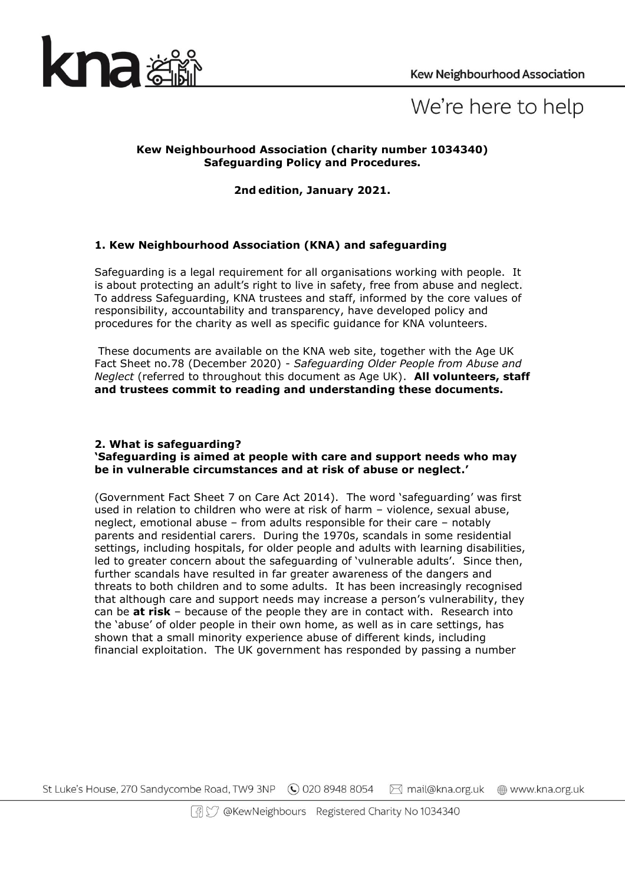

# We're here to help

## **Kew Neighbourhood Association (charity number 1034340) Safeguarding Policy and Procedures.**

**2nd edition, January 2021.**

## **1. Kew Neighbourhood Association (KNA) and safeguarding**

Safeguarding is a legal requirement for all organisations working with people. It is about protecting an adult's right to live in safety, free from abuse and neglect. To address Safeguarding, KNA trustees and staff, informed by the core values of responsibility, accountability and transparency, have developed policy and procedures for the charity as well as specific guidance for KNA volunteers.

These documents are available on the KNA web site, together with the Age UK Fact Sheet no.78 (December 2020) - *Safeguarding Older People from Abuse and Neglect* (referred to throughout this document as Age UK). **All volunteers, staff and trustees commit to reading and understanding these documents.** 

#### **2. What is safeguarding? 'Safeguarding is aimed at people with care and support needs who may be in vulnerable circumstances and at risk of abuse or neglect.'**

(Government Fact Sheet 7 on Care Act 2014). The word 'safeguarding' was first used in relation to children who were at risk of harm – violence, sexual abuse, neglect, emotional abuse – from adults responsible for their care – notably parents and residential carers. During the 1970s, scandals in some residential settings, including hospitals, for older people and adults with learning disabilities, led to greater concern about the safeguarding of 'vulnerable adults'. Since then, further scandals have resulted in far greater awareness of the dangers and threats to both children and to some adults. It has been increasingly recognised that although care and support needs may increase a person's vulnerability, they can be **at risk** – because of the people they are in contact with. Research into the 'abuse' of older people in their own home, as well as in care settings, has shown that a small minority experience abuse of different kinds, including financial exploitation. The UK government has responded by passing a number

St Luke's House, 270 Sandycombe Road, TW9 3NP (C) 020 8948 8054 ⊠ mail@kna.org.uk www.kna.org.uk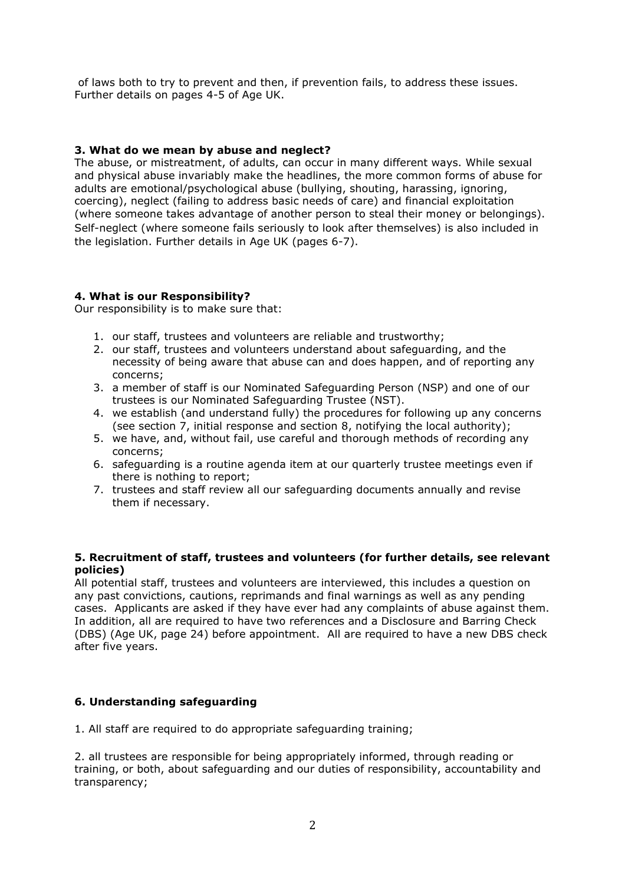of laws both to try to prevent and then, if prevention fails, to address these issues. Further details on pages 4-5 of Age UK.

## **3. What do we mean by abuse and neglect?**

The abuse, or mistreatment, of adults, can occur in many different ways. While sexual and physical abuse invariably make the headlines, the more common forms of abuse for adults are emotional/psychological abuse (bullying, shouting, harassing, ignoring, coercing), neglect (failing to address basic needs of care) and financial exploitation (where someone takes advantage of another person to steal their money or belongings). Self-neglect (where someone fails seriously to look after themselves) is also included in the legislation. Further details in Age UK (pages 6-7).

## **4. What is our Responsibility?**

Our responsibility is to make sure that:

- 1. our staff, trustees and volunteers are reliable and trustworthy;
- 2. our staff, trustees and volunteers understand about safeguarding, and the necessity of being aware that abuse can and does happen, and of reporting any concerns;
- 3. a member of staff is our Nominated Safeguarding Person (NSP) and one of our trustees is our Nominated Safeguarding Trustee (NST).
- 4. we establish (and understand fully) the procedures for following up any concerns (see section 7, initial response and section 8, notifying the local authority);
- 5. we have, and, without fail, use careful and thorough methods of recording any concerns;
- 6. safeguarding is a routine agenda item at our quarterly trustee meetings even if there is nothing to report;
- 7. trustees and staff review all our safeguarding documents annually and revise them if necessary.

#### **5. Recruitment of staff, trustees and volunteers (for further details, see relevant policies)**

All potential staff, trustees and volunteers are interviewed, this includes a question on any past convictions, cautions, reprimands and final warnings as well as any pending cases. Applicants are asked if they have ever had any complaints of abuse against them. In addition, all are required to have two references and a Disclosure and Barring Check (DBS) (Age UK, page 24) before appointment. All are required to have a new DBS check after five years.

## **6. Understanding safeguarding**

1. All staff are required to do appropriate safeguarding training;

2. all trustees are responsible for being appropriately informed, through reading or training, or both, about safeguarding and our duties of responsibility, accountability and transparency;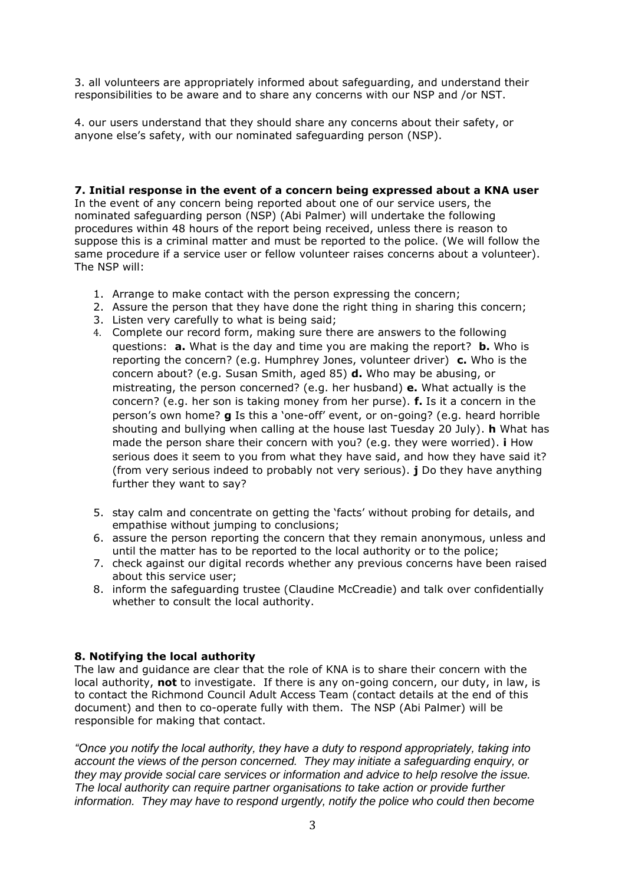3. all volunteers are appropriately informed about safeguarding, and understand their responsibilities to be aware and to share any concerns with our NSP and /or NST.

4. our users understand that they should share any concerns about their safety, or anyone else's safety, with our nominated safeguarding person (NSP).

#### **7. Initial response in the event of a concern being expressed about a KNA user**

In the event of any concern being reported about one of our service users, the nominated safeguarding person (NSP) (Abi Palmer) will undertake the following procedures within 48 hours of the report being received, unless there is reason to suppose this is a criminal matter and must be reported to the police. (We will follow the same procedure if a service user or fellow volunteer raises concerns about a volunteer). The NSP will:

- 1. Arrange to make contact with the person expressing the concern;
- 2. Assure the person that they have done the right thing in sharing this concern;
- 3. Listen very carefully to what is being said;
- 4. Complete our record form, making sure there are answers to the following questions: **a.** What is the day and time you are making the report? **b.** Who is reporting the concern? (e.g. Humphrey Jones, volunteer driver) **c.** Who is the concern about? (e.g. Susan Smith, aged 85) **d.** Who may be abusing, or mistreating, the person concerned? (e.g. her husband) **e.** What actually is the concern? (e.g. her son is taking money from her purse). **f.** Is it a concern in the person's own home? **g** Is this a 'one-off' event, or on-going? (e.g. heard horrible shouting and bullying when calling at the house last Tuesday 20 July). **h** What has made the person share their concern with you? (e.g. they were worried). **i** How serious does it seem to you from what they have said, and how they have said it? (from very serious indeed to probably not very serious). **j** Do they have anything further they want to say?
- 5. stay calm and concentrate on getting the 'facts' without probing for details, and empathise without jumping to conclusions;
- 6. assure the person reporting the concern that they remain anonymous, unless and until the matter has to be reported to the local authority or to the police;
- 7. check against our digital records whether any previous concerns have been raised about this service user;
- 8. inform the safeguarding trustee (Claudine McCreadie) and talk over confidentially whether to consult the local authority.

#### **8. Notifying the local authority**

The law and guidance are clear that the role of KNA is to share their concern with the local authority, **not** to investigate. If there is any on-going concern, our duty, in law, is to contact the Richmond Council Adult Access Team (contact details at the end of this document) and then to co-operate fully with them. The NSP (Abi Palmer) will be responsible for making that contact.

*"Once you notify the local authority, they have a duty to respond appropriately, taking into account the views of the person concerned. They may initiate a safeguarding enquiry, or they may provide social care services or information and advice to help resolve the issue. The local authority can require partner organisations to take action or provide further information. They may have to respond urgently, notify the police who could then become*